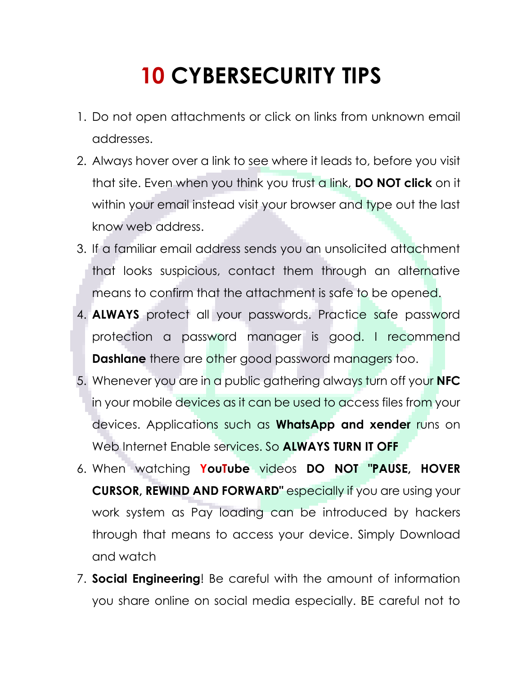## **10 CYBERSECURITY TIPS**

- 1. Do not open attachments or click on links from unknown email addresses.
- 2. Always hover over a link to see where it leads to, before you visit that site. Even when you think you trust a link, **DO NOT click** on it within your email instead visit your browser and type out the last know web address.
- 3. If a familiar email address sends you an unsolicited attachment that looks suspicious, contact them through an alternative means to confirm that the attachment is safe to be opened.
- 4. **ALWAYS** protect all your passwords. Practice safe password protection a password manager is good. I recommend **Dashlane** there are other good password managers too.
- 5. Whenever you are in a public gathering always turn off your **NFC** in your mobile devices as it can be used to access files from your devices. Applications such as **WhatsApp and xender** runs on Web Internet Enable services. So **ALWAYS TURN IT OFF**
- 6. When watching **YouTube** videos **DO NOT "PAUSE, HOVER CURSOR, REWIND AND FORWARD"** especially if you are using your work system as Pay loading can be introduced by hackers through that means to access your device. Simply Download and watch
- 7. **Social Engineering**! Be careful with the amount of information you share online on social media especially. BE careful not to